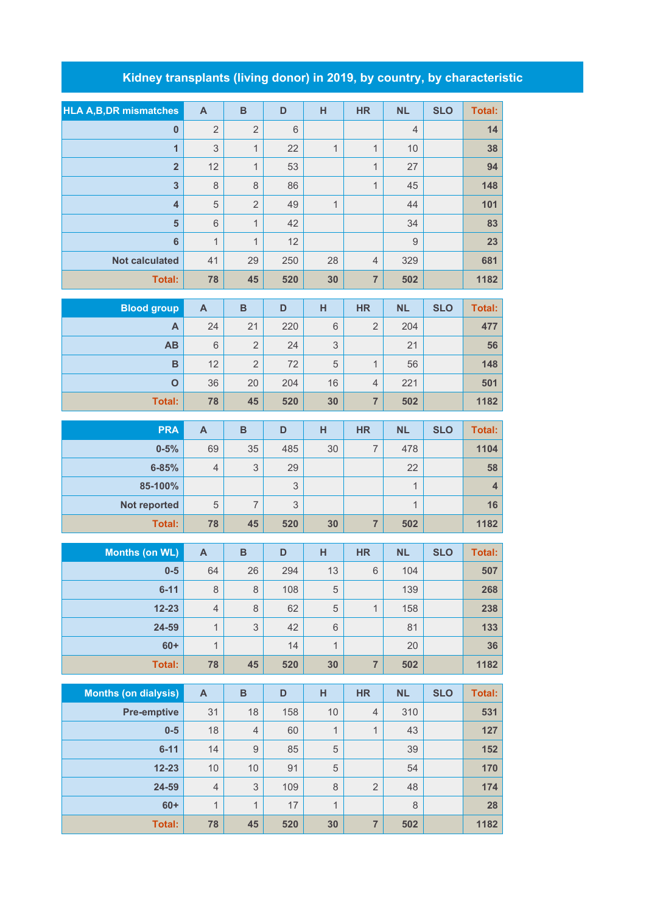## **Kidney transplants (living donor) in 2019, by country, by characteristic**

| <b>HLA A,B,DR mismatches</b> | $\mathsf{A}$              | $\mathbf B$      | D           | H            | <b>HR</b>      | <b>NL</b>    | <b>SLO</b> | <b>Total:</b>  |
|------------------------------|---------------------------|------------------|-------------|--------------|----------------|--------------|------------|----------------|
| $\bf{0}$                     | $\overline{2}$            | $\overline{2}$   | $\,$ 6 $\,$ |              |                | 4            |            | 14             |
| $\overline{1}$               | 3                         | $\mathbf{1}$     | 22          | $\mathbf{1}$ | $\mathbf{1}$   | 10           |            | 38             |
| $\overline{\mathbf{2}}$      | 12                        | $\mathbf{1}$     | 53          |              | $\mathbf{1}$   | 27           |            | 94             |
| $\overline{\mathbf{3}}$      | $\,8\,$                   | $\,8\,$          | 86          |              | $\mathbf{1}$   | 45           |            | 148            |
| $\overline{4}$               | $\mathbf 5$               | $\overline{2}$   | 49          | $\mathbf{1}$ |                | 44           |            | 101            |
| 5                            | $\,$ 6 $\,$               | $\mathbf{1}$     | 42          |              |                | 34           |            | 83             |
| 6                            | 1                         | $\mathbf{1}$     | 12          |              |                | 9            |            | 23             |
| <b>Not calculated</b>        | 41                        | 29               | 250         | 28           | $\overline{4}$ | 329          |            | 681            |
| <b>Total:</b>                | 78                        | 45               | 520         | 30           | $\overline{7}$ | 502          |            | 1182           |
| <b>Blood group</b>           | $\mathsf{A}$              | $\overline{B}$   | D           | H            | <b>HR</b>      | <b>NL</b>    | <b>SLO</b> | <b>Total:</b>  |
| A                            | 24                        | 21               | 220         | 6            | $\overline{2}$ | 204          |            | 477            |
| AB                           | 6                         | $\overline{2}$   | 24          | 3            |                | 21           |            | 56             |
| B                            | 12                        | $\overline{2}$   | 72          | $\sqrt{5}$   | $\mathbf{1}$   | 56           |            | 148            |
| $\overline{O}$               | 36                        | 20               | 204         | 16           | $\overline{4}$ | 221          |            | 501            |
| <b>Total:</b>                | 78                        | 45               | 520         | 30           | $\overline{7}$ | 502          |            | 1182           |
| <b>PRA</b>                   | $\boldsymbol{\mathsf{A}}$ | $\overline{B}$   | D           | H            | <b>HR</b>      | <b>NL</b>    | <b>SLO</b> | <b>Total:</b>  |
| $0 - 5%$                     | 69                        | 35               | 485         | 30           | $\overline{7}$ | 478          |            | 1104           |
| 6-85%                        | $\overline{4}$            | $\mathsf 3$      | 29          |              |                | 22           |            | 58             |
| 85-100%                      |                           |                  | 3           |              |                | $\mathbf{1}$ |            | $\overline{4}$ |
| Not reported                 | $\sqrt{5}$                | $\overline{7}$   | 3           |              |                | $\mathbf{1}$ |            | 16             |
| <b>Total:</b>                | 78                        | 45               | 520         | 30           | $\overline{7}$ | 502          |            | 1182           |
| <b>Months (on WL)</b>        | $\boldsymbol{\mathsf{A}}$ | $\, {\bf B}$     | D           | H            | <b>HR</b>      | <b>NL</b>    | <b>SLO</b> | <b>Total:</b>  |
| $0-5$                        | 64                        | 26               | 294         | 13           | 6              | 104          |            | 507            |
| $6 - 11$                     | $\,8\,$                   | $\,8\,$          | 108         | $\mathbf 5$  |                | 139          |            | 268            |
| $12 - 23$                    | $\overline{4}$            | $\,8\,$          | 62          | $\,$ 5 $\,$  | 1              | 158          |            | 238            |
| 24-59                        | $\mathbf{1}$              | $\mathsf 3$      | 42          | $\,6\,$      |                | 81           |            | 133            |
| $60+$                        | $\mathbf{1}$              |                  | 14          | $\mathbf{1}$ |                | 20           |            | 36             |
| <b>Total:</b>                | 78                        | 45               | 520         | 30           | $\overline{7}$ | 502          |            | 1182           |
| <b>Months (on dialysis)</b>  | $\boldsymbol{\mathsf{A}}$ | $\, {\bf B}$     | D           | н            | <b>HR</b>      | <b>NL</b>    | <b>SLO</b> | <b>Total:</b>  |
| <b>Pre-emptive</b>           | 31                        | 18               | 158         | 10           | $\overline{4}$ | 310          |            | 531            |
| $0-5$                        | 18                        | $\overline{4}$   | 60          | $\mathbf{1}$ | 1              | 43           |            | 127            |
| $6 - 11$                     | 14                        | $\boldsymbol{9}$ | 85          | $\,$ 5 $\,$  |                | 39           |            | 152            |
| $12 - 23$                    | 10                        | 10               | 91          | $\,$ 5 $\,$  |                | 54           |            | 170            |
| 24-59                        | $\overline{4}$            | $\sqrt{3}$       | 109         | $\,8\,$      | $\mathbf 2$    | 48           |            | 174            |
| $60+$                        | $\mathbf{1}$              | $\mathbf{1}$     | 17          | $\mathbf{1}$ |                | $\,8\,$      |            | 28             |
| Total:                       | 78                        | 45               | 520         | 30           | $\overline{7}$ | 502          |            | 1182           |